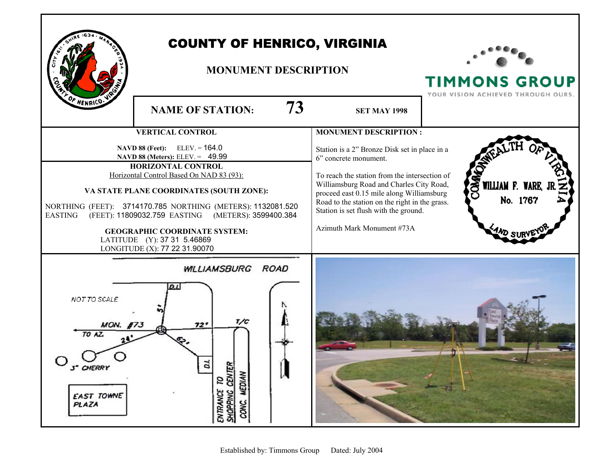